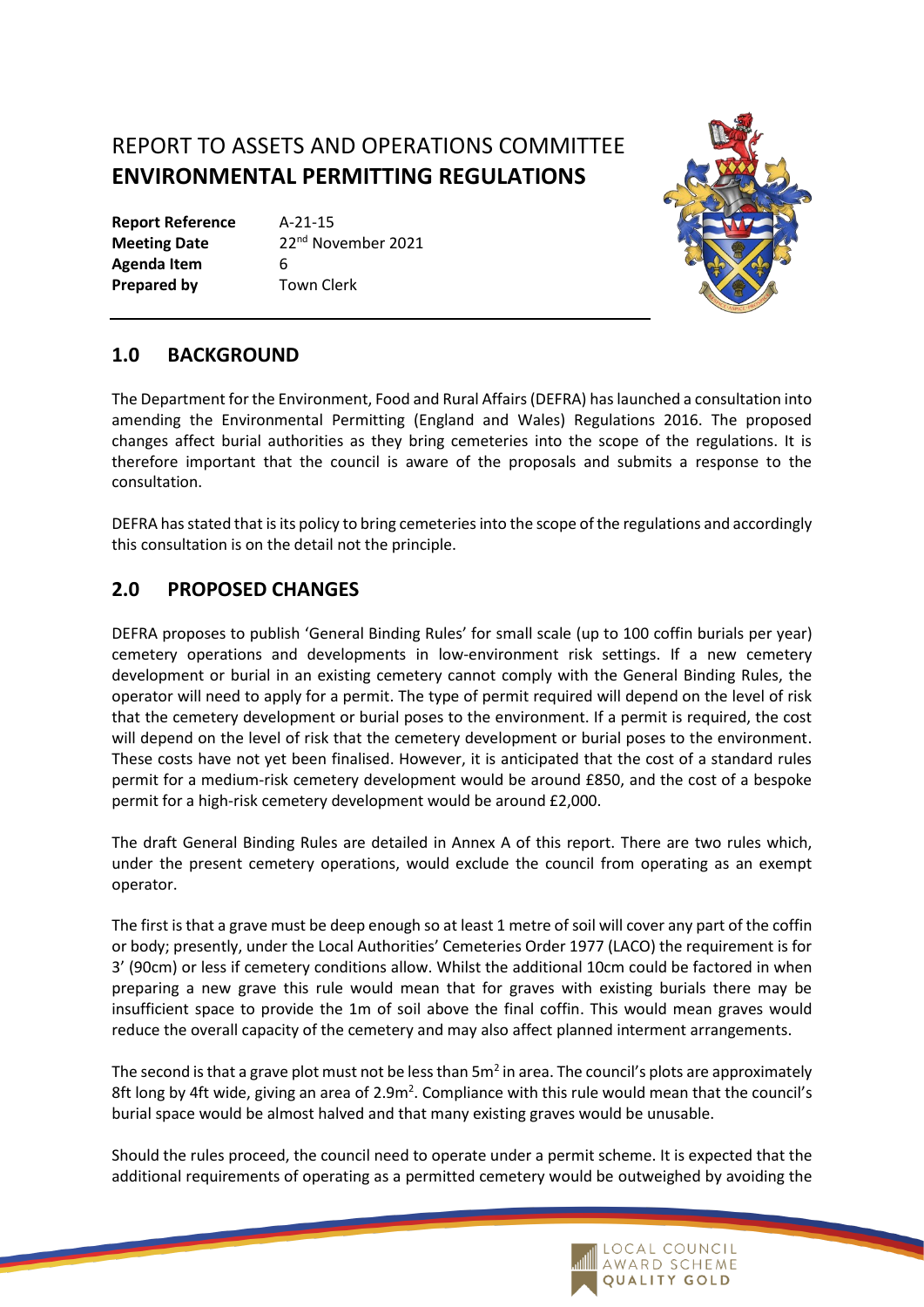# REPORT TO ASSETS AND OPERATIONS COMMITTEE **ENVIRONMENTAL PERMITTING REGULATIONS**

**Report Reference** A-21-15 **Agenda Item** 6 **Prepared by Town Clerk** 

**Meeting Date** 22<sup>nd</sup> November 2021



## **1.0 BACKGROUND**

The Department for the Environment, Food and Rural Affairs (DEFRA) has launched a consultation into amending the Environmental Permitting (England and Wales) Regulations 2016. The proposed changes affect burial authorities as they bring cemeteries into the scope of the regulations. It is therefore important that the council is aware of the proposals and submits a response to the consultation.

DEFRA has stated that is its policy to bring cemeteries into the scope of the regulations and accordingly this consultation is on the detail not the principle.

## **2.0 PROPOSED CHANGES**

DEFRA proposes to publish 'General Binding Rules' for small scale (up to 100 coffin burials per year) cemetery operations and developments in low-environment risk settings. If a new cemetery development or burial in an existing cemetery cannot comply with the General Binding Rules, the operator will need to apply for a permit. The type of permit required will depend on the level of risk that the cemetery development or burial poses to the environment. If a permit is required, the cost will depend on the level of risk that the cemetery development or burial poses to the environment. These costs have not yet been finalised. However, it is anticipated that the cost of a standard rules permit for a medium-risk cemetery development would be around £850, and the cost of a bespoke permit for a high-risk cemetery development would be around £2,000.

The draft General Binding Rules are detailed in Annex A of this report. There are two rules which, under the present cemetery operations, would exclude the council from operating as an exempt operator.

The first is that a grave must be deep enough so at least 1 metre of soil will cover any part of the coffin or body; presently, under the Local Authorities' Cemeteries Order 1977 (LACO) the requirement is for 3' (90cm) or less if cemetery conditions allow. Whilst the additional 10cm could be factored in when preparing a new grave this rule would mean that for graves with existing burials there may be insufficient space to provide the 1m of soil above the final coffin. This would mean graves would reduce the overall capacity of the cemetery and may also affect planned interment arrangements.

The second is that a grave plot must not be less than 5 $m^2$  in area. The council's plots are approximately 8ft long by 4ft wide, giving an area of 2.9m<sup>2</sup>. Compliance with this rule would mean that the council's burial space would be almost halved and that many existing graves would be unusable.

Should the rules proceed, the council need to operate under a permit scheme. It is expected that the additional requirements of operating as a permitted cemetery would be outweighed by avoiding the

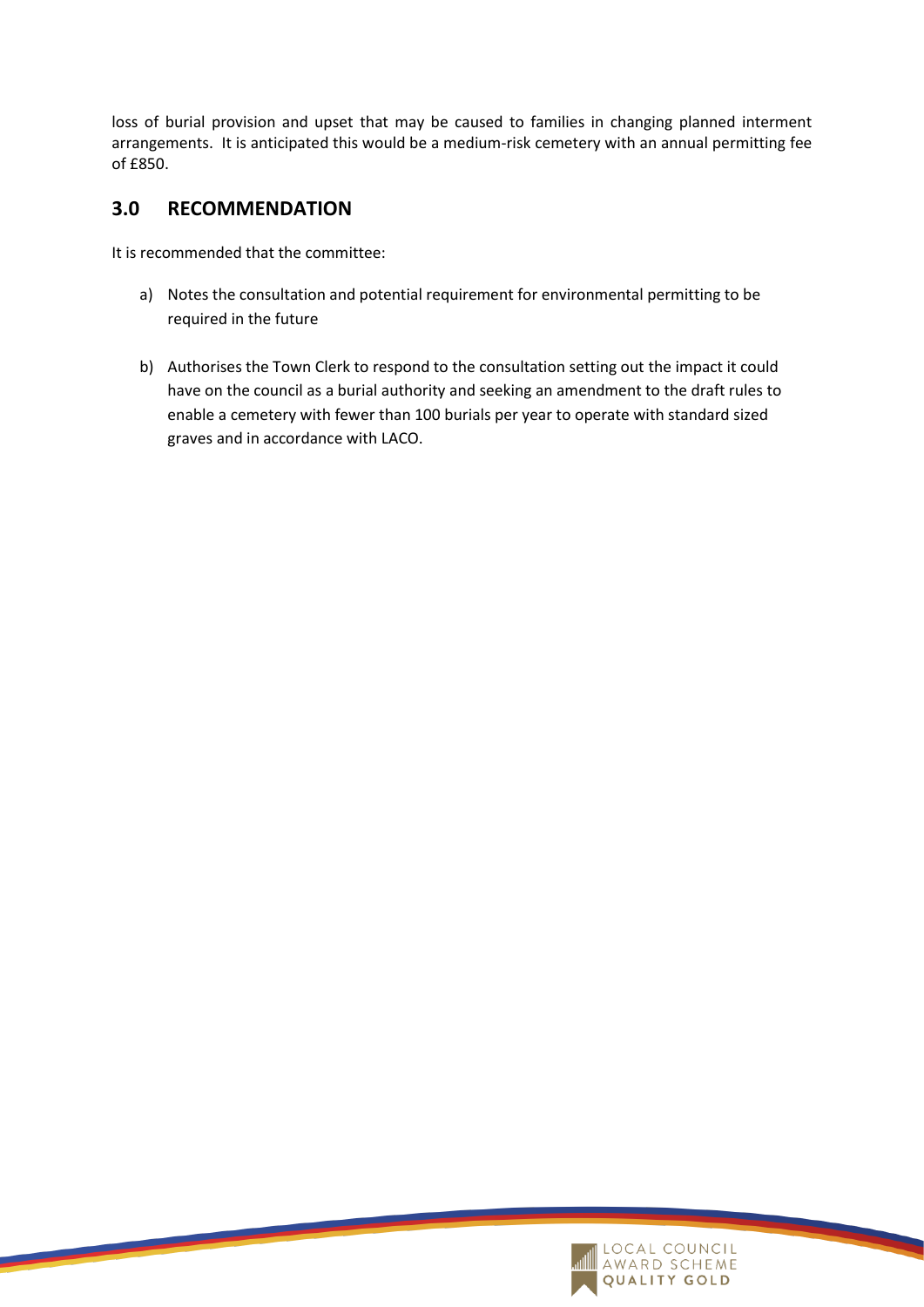loss of burial provision and upset that may be caused to families in changing planned interment arrangements. It is anticipated this would be a medium-risk cemetery with an annual permitting fee of £850.

#### **3.0 RECOMMENDATION**

It is recommended that the committee:

- a) Notes the consultation and potential requirement for environmental permitting to be required in the future
- b) Authorises the Town Clerk to respond to the consultation setting out the impact it could have on the council as a burial authority and seeking an amendment to the draft rules to enable a cemetery with fewer than 100 burials per year to operate with standard sized graves and in accordance with LACO.

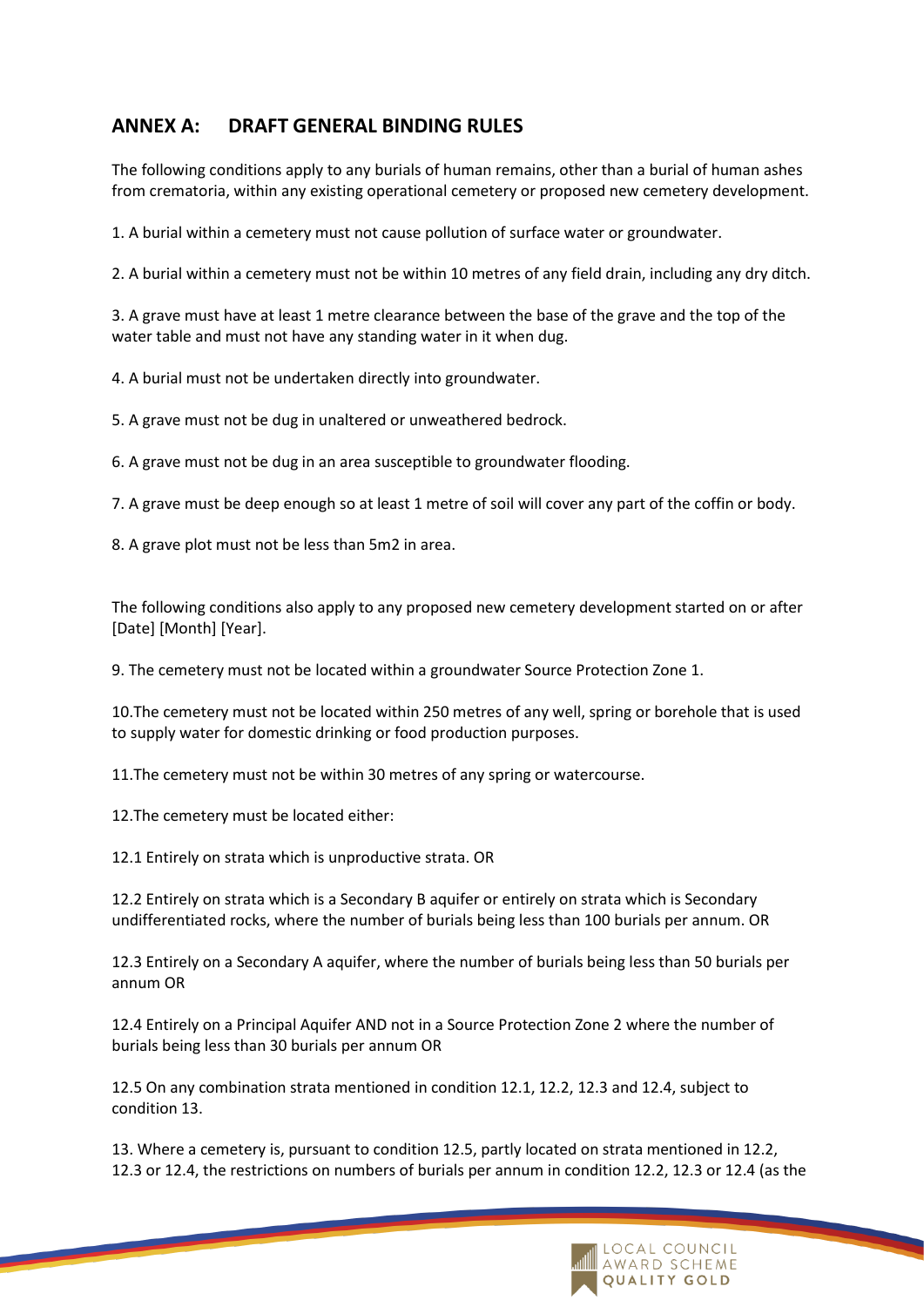## **ANNEX A: DRAFT GENERAL BINDING RULES**

The following conditions apply to any burials of human remains, other than a burial of human ashes from crematoria, within any existing operational cemetery or proposed new cemetery development.

1. A burial within a cemetery must not cause pollution of surface water or groundwater.

2. A burial within a cemetery must not be within 10 metres of any field drain, including any dry ditch.

3. A grave must have at least 1 metre clearance between the base of the grave and the top of the water table and must not have any standing water in it when dug.

4. A burial must not be undertaken directly into groundwater.

5. A grave must not be dug in unaltered or unweathered bedrock.

6. A grave must not be dug in an area susceptible to groundwater flooding.

7. A grave must be deep enough so at least 1 metre of soil will cover any part of the coffin or body.

8. A grave plot must not be less than 5m2 in area.

The following conditions also apply to any proposed new cemetery development started on or after [Date] [Month] [Year].

9. The cemetery must not be located within a groundwater Source Protection Zone 1.

10.The cemetery must not be located within 250 metres of any well, spring or borehole that is used to supply water for domestic drinking or food production purposes.

11.The cemetery must not be within 30 metres of any spring or watercourse.

12.The cemetery must be located either:

12.1 Entirely on strata which is unproductive strata. OR

12.2 Entirely on strata which is a Secondary B aquifer or entirely on strata which is Secondary undifferentiated rocks, where the number of burials being less than 100 burials per annum. OR

12.3 Entirely on a Secondary A aquifer, where the number of burials being less than 50 burials per annum OR

12.4 Entirely on a Principal Aquifer AND not in a Source Protection Zone 2 where the number of burials being less than 30 burials per annum OR

12.5 On any combination strata mentioned in condition 12.1, 12.2, 12.3 and 12.4, subject to condition 13.

13. Where a cemetery is, pursuant to condition 12.5, partly located on strata mentioned in 12.2, 12.3 or 12.4, the restrictions on numbers of burials per annum in condition 12.2, 12.3 or 12.4 (as the